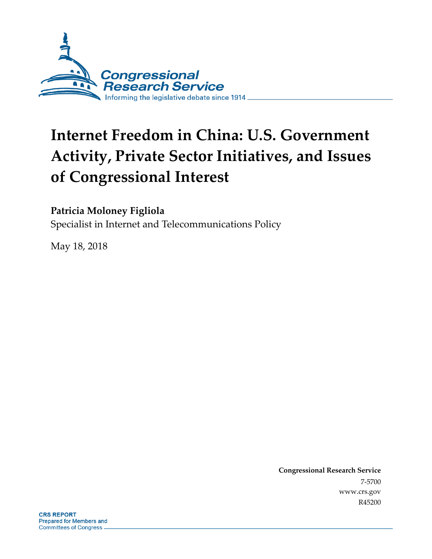

# **Internet Freedom in China: U.S. Government Activity, Private Sector Initiatives, and Issues of Congressional Interest**

### **Patricia Moloney Figliola**

Specialist in Internet and Telecommunications Policy

May 18, 2018

**Congressional Research Service** 7-5700 www.crs.gov R45200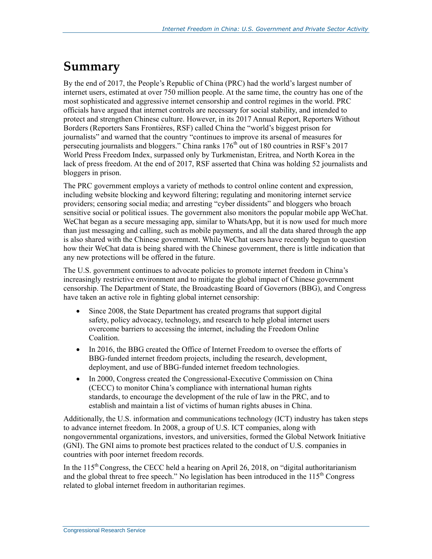## **Summary**

By the end of 2017, the People's Republic of China (PRC) had the world's largest number of internet users, estimated at over 750 million people. At the same time, the country has one of the most sophisticated and aggressive internet censorship and control regimes in the world. PRC officials have argued that internet controls are necessary for social stability, and intended to protect and strengthen Chinese culture. However, in its 2017 Annual Report, Reporters Without Borders (Reporters Sans Frontières, RSF) called China the "world's biggest prison for journalists" and warned that the country "continues to improve its arsenal of measures for persecuting journalists and bloggers." China ranks  $176<sup>th</sup>$  out of 180 countries in RSF's 2017 World Press Freedom Index, surpassed only by Turkmenistan, Eritrea, and North Korea in the lack of press freedom. At the end of 2017, RSF asserted that China was holding 52 journalists and bloggers in prison.

The PRC government employs a variety of methods to control online content and expression, including website blocking and keyword filtering; regulating and monitoring internet service providers; censoring social media; and arresting "cyber dissidents" and bloggers who broach sensitive social or political issues. The government also monitors the popular mobile app WeChat. WeChat began as a secure messaging app, similar to WhatsApp, but it is now used for much more than just messaging and calling, such as mobile payments, and all the data shared through the app is also shared with the Chinese government. While WeChat users have recently begun to question how their WeChat data is being shared with the Chinese government, there is little indication that any new protections will be offered in the future.

The U.S. government continues to advocate policies to promote internet freedom in China's increasingly restrictive environment and to mitigate the global impact of Chinese government censorship. The Department of State, the Broadcasting Board of Governors (BBG), and Congress have taken an active role in fighting global internet censorship:

- Since 2008, the State Department has created programs that support digital safety, policy advocacy, technology, and research to help global internet users overcome barriers to accessing the internet, including the Freedom Online Coalition.
- In 2016, the BBG created the Office of Internet Freedom to oversee the efforts of BBG-funded internet freedom projects, including the research, development, deployment, and use of BBG-funded internet freedom technologies.
- In 2000, Congress created the Congressional-Executive Commission on China (CECC) to monitor China's compliance with international human rights standards, to encourage the development of the rule of law in the PRC, and to establish and maintain a list of victims of human rights abuses in China.

Additionally, the U.S. information and communications technology (ICT) industry has taken steps to advance internet freedom. In 2008, a group of U.S. ICT companies, along with nongovernmental organizations, investors, and universities, formed the Global Network Initiative (GNI). The GNI aims to promote best practices related to the conduct of U.S. companies in countries with poor internet freedom records.

In the  $115<sup>th</sup>$  Congress, the CECC held a hearing on April 26, 2018, on "digital authoritarianism" and the global threat to free speech." No legislation has been introduced in the  $115<sup>th</sup>$  Congress related to global internet freedom in authoritarian regimes.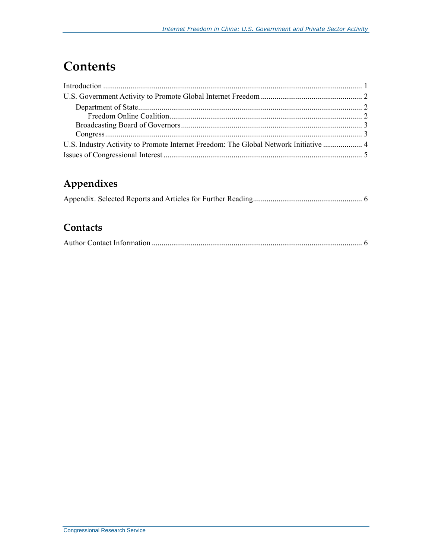## **Contents**

| U.S. Industry Activity to Promote Internet Freedom: The Global Network Initiative  4 |  |
|--------------------------------------------------------------------------------------|--|
|                                                                                      |  |

## **Appendixes**

### **Contacts**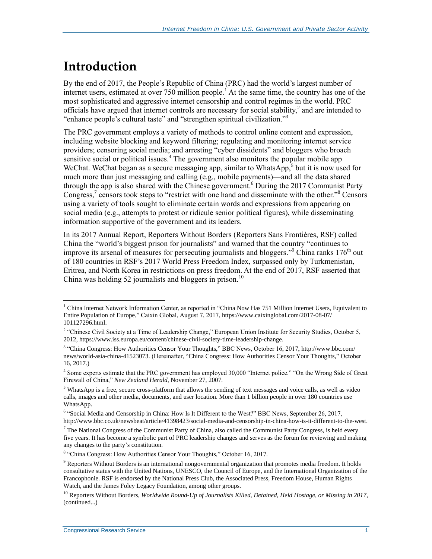## **Introduction**

By the end of 2017, the People's Republic of China (PRC) had the world's largest number of internet users, estimated at over 750 million people.<sup>1</sup> At the same time, the country has one of the most sophisticated and aggressive internet censorship and control regimes in the world. PRC officials have argued that internet controls are necessary for social stability,<sup>2</sup> and are intended to "enhance people's cultural taste" and "strengthen spiritual civilization."<sup>3</sup>

The PRC government employs a variety of methods to control online content and expression, including website blocking and keyword filtering; regulating and monitoring internet service providers; censoring social media; and arresting "cyber dissidents" and bloggers who broach sensitive social or political issues.<sup>4</sup> The government also monitors the popular mobile app WeChat. WeChat began as a secure messaging app, similar to WhatsApp,<sup>5</sup> but it is now used for much more than just messaging and calling (e.g., mobile payments)—and all the data shared through the app is also shared with the Chinese government.<sup>6</sup> During the 2017 Communist Party Congress,<sup>7</sup> censors took steps to "restrict with one hand and disseminate with the other."<sup>8</sup> Censors using a variety of tools sought to eliminate certain words and expressions from appearing on social media (e.g., attempts to protest or ridicule senior political figures), while disseminating information supportive of the government and its leaders.

In its 2017 Annual Report, Reporters Without Borders (Reporters Sans Frontières, RSF) called China the "world's biggest prison for journalists" and warned that the country "continues to improve its arsenal of measures for persecuting journalists and bloggers."<sup>9</sup> China ranks  $176<sup>th</sup>$  out of 180 countries in RSF's 2017 World Press Freedom Index, surpassed only by Turkmenistan, Eritrea, and North Korea in restrictions on press freedom. At the end of 2017, RSF asserted that China was holding 52 journalists and bloggers in prison.<sup>10</sup>

 $\overline{a}$ <sup>1</sup> China Internet Network Information Center, as reported in "China Now Has 751 Million Internet Users, Equivalent to Entire Population of Europe," Caixin Global, August 7, 2017, https://www.caixinglobal.com/2017-08-07/ 101127296.html.

<sup>&</sup>lt;sup>2</sup> "Chinese Civil Society at a Time of Leadership Change," European Union Institute for Security Studies, October 5, 2012, https://www.iss.europa.eu/content/chinese-civil-society-time-leadership-change.

<sup>3</sup> "China Congress: How Authorities Censor Your Thoughts," BBC News, October 16, 2017, http://www.bbc.com/ news/world-asia-china-41523073. (Hereinafter, "China Congress: How Authorities Censor Your Thoughts," October 16, 2017.)

<sup>&</sup>lt;sup>4</sup> Some experts estimate that the PRC government has employed 30,000 "Internet police." "On the Wrong Side of Great Firewall of China," *New Zealand Herald*, November 27, 2007.

<sup>&</sup>lt;sup>5</sup> WhatsApp is a free, secure cross-platform that allows the sending of text messages and voice calls, as well as video calls, images and other media, documents, and user location. More than 1 billion people in over 180 countries use WhatsApp.

<sup>6</sup> "Social Media and Censorship in China: How Is It Different to the West?" BBC News, September 26, 2017, http://www.bbc.co.uk/newsbeat/article/41398423/social-media-and-censorship-in-china-how-is-it-different-to-the-west.

 $<sup>7</sup>$  The National Congress of the Communist Party of China, also called the Communist Party Congress, is held every</sup> five years. It has become a symbolic part of PRC leadership changes and serves as the forum for reviewing and making any changes to the party's constitution.

<sup>&</sup>lt;sup>8</sup> "China Congress: How Authorities Censor Your Thoughts," October 16, 2017.

<sup>&</sup>lt;sup>9</sup> Reporters Without Borders is an international nongovernmental organization that promotes media freedom. It holds consultative status with the United Nations, UNESCO, the Council of Europe, and the International Organization of the Francophonie. RSF is endorsed by the National Press Club, the Associated Press, Freedom House, Human Rights Watch, and the James Foley Legacy Foundation, among other groups.

<sup>10</sup> Reporters Without Borders, *Worldwide Round-Up of Journalists Killed, Detained, Held Hostage, or Missing in 2017*, (continued...)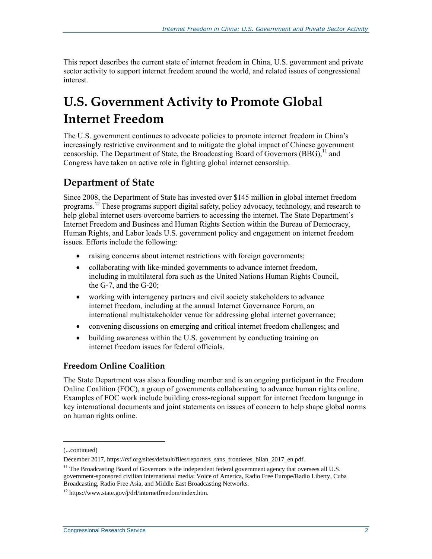This report describes the current state of internet freedom in China, U.S. government and private sector activity to support internet freedom around the world, and related issues of congressional interest.

## **U.S. Government Activity to Promote Global Internet Freedom**

The U.S. government continues to advocate policies to promote internet freedom in China's increasingly restrictive environment and to mitigate the global impact of Chinese government censorship. The Department of State, the Broadcasting Board of Governors (BBG),<sup>11</sup> and Congress have taken an active role in fighting global internet censorship.

### **Department of State**

Since 2008, the Department of State has invested over \$145 million in global internet freedom programs.<sup>12</sup> These programs support digital safety, policy advocacy, technology, and research to help global internet users overcome barriers to accessing the internet. The State Department's Internet Freedom and Business and Human Rights Section within the Bureau of Democracy, Human Rights, and Labor leads U.S. government policy and engagement on internet freedom issues. Efforts include the following:

- raising concerns about internet restrictions with foreign governments;
- collaborating with like-minded governments to advance internet freedom, including in multilateral fora such as the United Nations Human Rights Council, the G-7, and the G-20;
- working with interagency partners and civil society stakeholders to advance internet freedom, including at the annual Internet Governance Forum, an international multistakeholder venue for addressing global internet governance;
- convening discussions on emerging and critical internet freedom challenges; and
- building awareness within the U.S. government by conducting training on internet freedom issues for federal officials.

#### **Freedom Online Coalition**

The State Department was also a founding member and is an ongoing participant in the Freedom Online Coalition (FOC), a group of governments collaborating to advance human rights online. Examples of FOC work include building cross-regional support for internet freedom language in key international documents and joint statements on issues of concern to help shape global norms on human rights online.

 $\overline{a}$ 

<sup>(...</sup>continued)

December 2017, https://rsf.org/sites/default/files/reporters\_sans\_frontieres\_bilan\_2017\_en.pdf.

<sup>&</sup>lt;sup>11</sup> The Broadcasting Board of Governors is the independent federal government agency that oversees all U.S. government-sponsored civilian international media: Voice of America, Radio Free Europe/Radio Liberty, Cuba Broadcasting, Radio Free Asia, and Middle East Broadcasting Networks.

<sup>12</sup> https://www.state.gov/j/drl/internetfreedom/index.htm.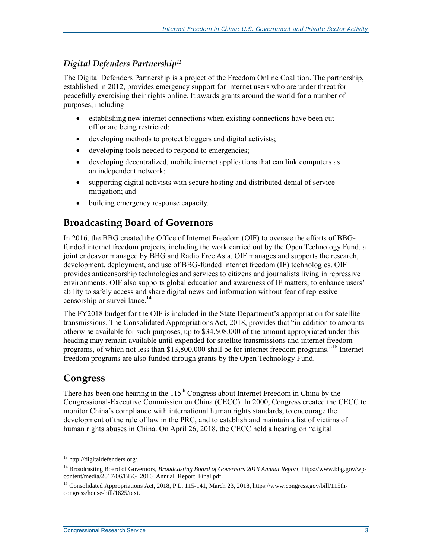### *Digital Defenders Partnership<sup>13</sup>*

The Digital Defenders Partnership is a project of the Freedom Online Coalition. The partnership, established in 2012, provides emergency support for internet users who are under threat for peacefully exercising their rights online. It awards grants around the world for a number of purposes, including

- establishing new internet connections when existing connections have been cut off or are being restricted;
- developing methods to protect bloggers and digital activists;
- developing tools needed to respond to emergencies;
- developing decentralized, mobile internet applications that can link computers as an independent network;
- supporting digital activists with secure hosting and distributed denial of service mitigation; and
- building emergency response capacity.

### **Broadcasting Board of Governors**

In 2016, the BBG created the Office of Internet Freedom (OIF) to oversee the efforts of BBGfunded internet freedom projects, including the work carried out by the Open Technology Fund, a joint endeavor managed by BBG and Radio Free Asia. OIF manages and supports the research, development, deployment, and use of BBG-funded internet freedom (IF) technologies. OIF provides anticensorship technologies and services to citizens and journalists living in repressive environments. OIF also supports global education and awareness of IF matters, to enhance users' ability to safely access and share digital news and information without fear of repressive censorship or surveillance.<sup>14</sup>

The FY2018 budget for the OIF is included in the State Department's appropriation for satellite transmissions. The Consolidated Appropriations Act, 2018, provides that "in addition to amounts otherwise available for such purposes, up to \$34,508,000 of the amount appropriated under this heading may remain available until expended for satellite transmissions and internet freedom programs, of which not less than \$13,800,000 shall be for internet freedom programs."<sup>15</sup> Internet freedom programs are also funded through grants by the Open Technology Fund.

### **Congress**

 $\overline{a}$ 

There has been one hearing in the  $115<sup>th</sup>$  Congress about Internet Freedom in China by the Congressional-Executive Commission on China (CECC). In 2000, Congress created the CECC to monitor China's compliance with international human rights standards, to encourage the development of the rule of law in the PRC, and to establish and maintain a list of victims of human rights abuses in China. On April 26, 2018, the CECC held a hearing on "digital

<sup>&</sup>lt;sup>13</sup> http://digitaldefenders.org/.

<sup>14</sup> Broadcasting Board of Governors, *Broadcasting Board of Governors 2016 Annual Report*, https://www.bbg.gov/wpcontent/media/2017/06/BBG\_2016\_Annual\_Report\_Final.pdf.

<sup>&</sup>lt;sup>15</sup> Consolidated Appropriations Act, 2018, P.L. 115-141, March 23, 2018, https://www.congress.gov/bill/115thcongress/house-bill/1625/text.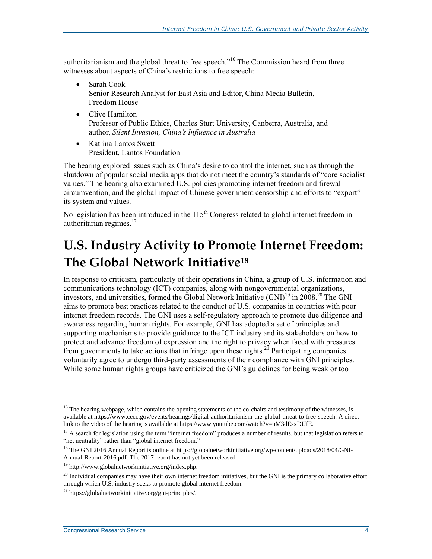authoritarianism and the global threat to free speech."<sup>16</sup> The Commission heard from three witnesses about aspects of China's restrictions to free speech:

- Sarah Cook Senior Research Analyst for East Asia and Editor, China Media Bulletin, Freedom House
- Clive Hamilton Professor of Public Ethics, Charles Sturt University, Canberra, Australia, and author, *Silent Invasion, China's Influence in Australia*
- Katrina Lantos Swett President, Lantos Foundation

The hearing explored issues such as China's desire to control the internet, such as through the shutdown of popular social media apps that do not meet the country's standards of "core socialist values." The hearing also examined U.S. policies promoting internet freedom and firewall circumvention, and the global impact of Chinese government censorship and efforts to "export" its system and values.

No legislation has been introduced in the 115<sup>th</sup> Congress related to global internet freedom in authoritarian regimes.<sup>17</sup>

## **U.S. Industry Activity to Promote Internet Freedom: The Global Network Initiative<sup>18</sup>**

In response to criticism, particularly of their operations in China, a group of U.S. information and communications technology (ICT) companies, along with nongovernmental organizations, investors, and universities, formed the Global Network Initiative  $(GNI)^{19}$  in 2008.<sup>20</sup> The GNI aims to promote best practices related to the conduct of U.S. companies in countries with poor internet freedom records. The GNI uses a self-regulatory approach to promote due diligence and awareness regarding human rights. For example, GNI has adopted a set of principles and supporting mechanisms to provide guidance to the ICT industry and its stakeholders on how to protect and advance freedom of expression and the right to privacy when faced with pressures from governments to take actions that infringe upon these rights.<sup>21</sup> Participating companies voluntarily agree to undergo third-party assessments of their compliance with GNI principles. While some human rights groups have criticized the GNI's guidelines for being weak or too

 $\overline{a}$ 

 $<sup>16</sup>$  The hearing webpage, which contains the opening statements of the co-chairs and testimony of the witnesses, is</sup> available at https://www.cecc.gov/events/hearings/digital-authoritarianism-the-global-threat-to-free-speech. A direct link to the video of the hearing is available at https://www.youtube.com/watch?v=uM3dEsxDUfE.

<sup>&</sup>lt;sup>17</sup> A search for legislation using the term "internet freedom" produces a number of results, but that legislation refers to "net neutrality" rather than "global internet freedom."

<sup>&</sup>lt;sup>18</sup> The GNI 2016 Annual Report is online at https://globalnetworkinitiative.org/wp-content/uploads/2018/04/GNI-Annual-Report-2016.pdf. The 2017 report has not yet been released.

<sup>19</sup> http://www.globalnetworkinitiative.org/index.php.

<sup>&</sup>lt;sup>20</sup> Individual companies may have their own internet freedom initiatives, but the GNI is the primary collaborative effort through which U.S. industry seeks to promote global internet freedom.

 $^{21}$  https://globalnetworkinitiative.org/gni-principles/.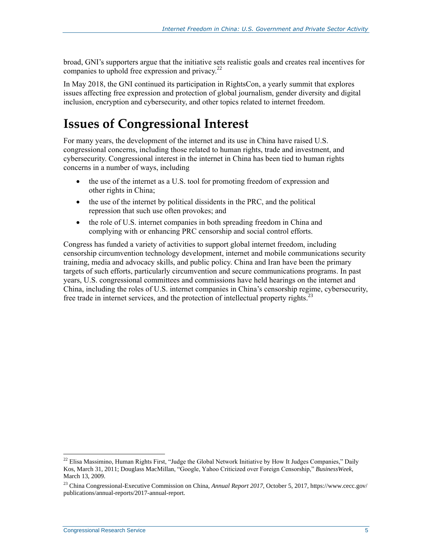broad, GNI's supporters argue that the initiative sets realistic goals and creates real incentives for companies to uphold free expression and privacy. $^{22}$ 

In May 2018, the GNI continued its participation in RightsCon, a yearly summit that explores issues affecting free expression and protection of global journalism, gender diversity and digital inclusion, encryption and cybersecurity, and other topics related to internet freedom.

### **Issues of Congressional Interest**

For many years, the development of the internet and its use in China have raised U.S. congressional concerns, including those related to human rights, trade and investment, and cybersecurity. Congressional interest in the internet in China has been tied to human rights concerns in a number of ways, including

- the use of the internet as a U.S. tool for promoting freedom of expression and other rights in China;
- the use of the internet by political dissidents in the PRC, and the political repression that such use often provokes; and
- the role of U.S. internet companies in both spreading freedom in China and complying with or enhancing PRC censorship and social control efforts.

Congress has funded a variety of activities to support global internet freedom, including censorship circumvention technology development, internet and mobile communications security training, media and advocacy skills, and public policy. China and Iran have been the primary targets of such efforts, particularly circumvention and secure communications programs. In past years, U.S. congressional committees and commissions have held hearings on the internet and China, including the roles of U.S. internet companies in China's censorship regime, cybersecurity, free trade in internet services, and the protection of intellectual property rights.<sup>23</sup>

 $\overline{a}$ 

<sup>&</sup>lt;sup>22</sup> Elisa Massimino, Human Rights First, "Judge the Global Network Initiative by How It Judges Companies," Daily Kos, March 31, 2011; Douglass MacMillan, "Google, Yahoo Criticized over Foreign Censorship," *BusinessWeek*, March 13, 2009.

<sup>23</sup> China Congressional-Executive Commission on China, *Annual Report 2017*, October 5, 2017, https://www.cecc.gov/ publications/annual-reports/2017-annual-report.